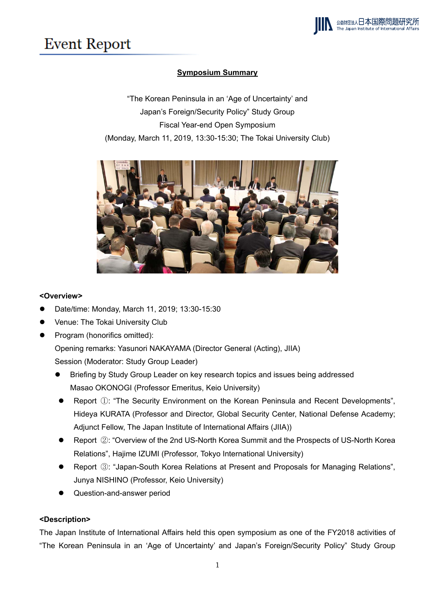## **Event Report**

## **Symposium Summary**

"The Korean Peninsula in an 'Age of Uncertainty' and Japan's Foreign/Security Policy" Study Group Fiscal Year-end Open Symposium (Monday, March 11, 2019, 13:30-15:30; The Tokai University Club)



## **<Overview>**

- Date/time: Monday, March 11, 2019; 13:30-15:30
- Venue: The Tokai University Club
- Program (honorifics omitted):

Opening remarks: Yasunori NAKAYAMA (Director General (Acting), JIIA)

Session (Moderator: Study Group Leader)

- Briefing by Study Group Leader on key research topics and issues being addressed Masao OKONOGI (Professor Emeritus, Keio University)
- Report ①: "The Security Environment on the Korean Peninsula and Recent Developments", Hideya KURATA (Professor and Director, Global Security Center, National Defense Academy; Adjunct Fellow, The Japan Institute of International Affairs (JIIA))
- Report ②: "Overview of the 2nd US-North Korea Summit and the Prospects of US-North Korea Relations", Hajime IZUMI (Professor, Tokyo International University)
- Report ③: "Japan-South Korea Relations at Present and Proposals for Managing Relations", Junya NISHINO (Professor, Keio University)
- Question-and-answer period

## **<Description>**

The Japan Institute of International Affairs held this open symposium as one of the FY2018 activities of "The Korean Peninsula in an 'Age of Uncertainty' and Japan's Foreign/Security Policy" Study Group